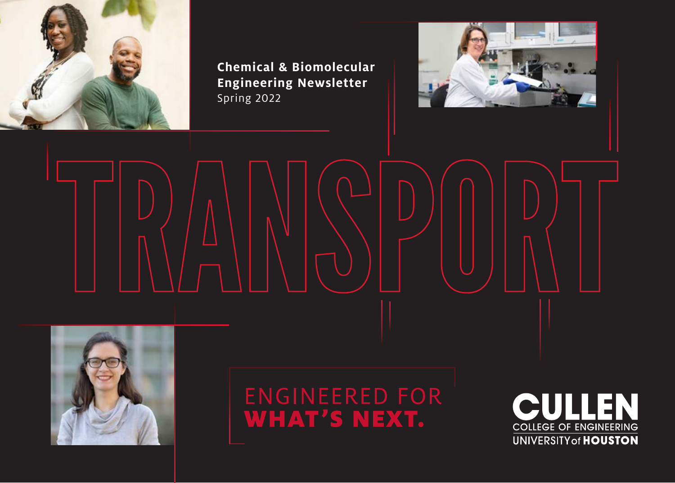

**Chemical & Biomolecular Engineering Newsletter**  Spring 2022



TRANSPORT



ENGINEERED FOR<br>**WHAT'S NEXT.** 

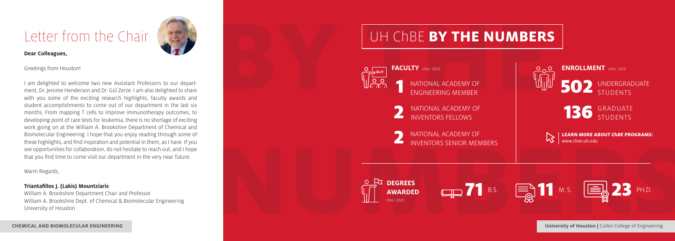# Letter from the Chair



#### **Dear Colleagues,**

Greetings from Houston!

I am delighted to welcome two new Assistant Professors to our department, Dr. Jerome Henderson and Dr. Gül Zerze. I am also delighted to share with you some of the exciting research highlights, faculty awards and student accomplishments to come out of our department in the last six months. From mapping T cells to improve immunotherapy outcomes, to developing point of care tests for leukemia, there is no shortage of exciting work going on at the William A. Brookshire Department of Chemical and Biomolecular Engineering. I hope that you enjoy reading through some of these highlights, and find inspiration and potential in them, as I have. If you see opportunities for collaboration, do not hesitate to reach out, and I hope that you find time to come visit our department in the very near future.

Warm Regards,

#### **Triantafillos J. (Lakis) Mountziaris**

William A. Brookshire Department Chair and Professor William A. Brookshire Dept. of Chemical & Biomolecular Engineering University of Houston

UH ChBE **BY THE NUMBERS FACULTY** *(FALL 2021)* **ENROLLMENT** *(FALL 2021)*  $\overline{\circ}$   $\circ$ 1 502 UNDERGRADUATE NATIONAL ACADEMY OF **STUDENTS** ENGINEERING MEMBER 2 136 GRADUATE NATIONAL ACADEMY OF INVENTORS FELLOWS STUDENTS 2 NATIONAL ACADEMY OF *LEARN MORE ABOUT ChBE PROGRAMS:* KZ. *www.chee.uh.edu* INVENTORS SENIOR MEMBERS







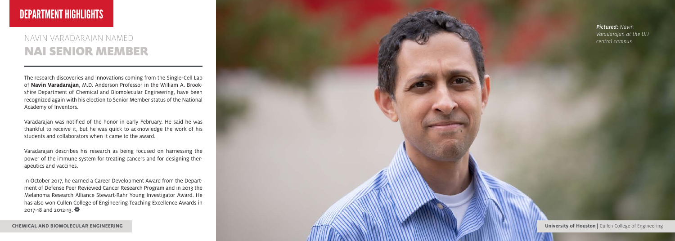## DEPARTMENT HIGHLIGHTS

#### NAVIN VARADARAJAN NAMED NAI SENIOR MEMBER

The research discoveries and innovations coming from the Single-Cell Lab of **Navin Varadarajan**, M.D. Anderson Professor in the William A. Brook shire Department of Chemical and Biomolecular Engineering, have been recognized again with his election to Senior Member status of the National Academy of Inventors.

Varadarajan was notified of the honor in early February. He said he was thankful to receive it, but he was quick to acknowledge the work of his students and collaborators when it came to the award.

Varadarajan describes his research as being focused on harnessing the power of the immune system for treating cancers and for designing ther apeutics and vaccines.

In October 2017, he earned a Career Development Award from the Depart ment of Defense Peer Reviewed Cancer Research Program and in 2013 the Melanoma Research Alliance Stewart-Rahr Young Investigator Award. He has also won Cullen College of Engineering Teaching Excellence Awards in 2017-18 and 2012-13.

*Pictured: Navin Varadarajan at the UH central campus*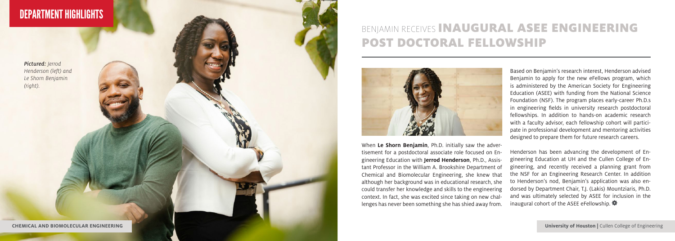## DEPARTMENT HIGHLIGHTS

*Pictured: Jerrod Henderson (left) and Le Shorn Benjamin (right).*

**CHEMICAL AND BIOMOLECULAR ENGINEERING**

## BENJAMIN RECEIVES INAUGURAL ASEE ENGINEERING POST DOCTORAL FELLOWSHIP



When **Le Shorn Benjamin**, Ph.D. initially saw the adver tisement for a postdoctoral associate role focused on En gineering Education with **Jerrod Henderson**, Ph.D., Assis tant Professor in the William A. Brookshire Department of Chemical and Biomolecular Engineering, she knew that although her background was in educational research, she could transfer her knowledge and skills to the engineering context. In fact, she was excited since taking on new chal lenges has never been something she has shied away from.

Based on Benjamin's research interest, Henderson advised Benjamin to apply for the new eFellows program, which is administered by the American Society for Engineering Education (ASEE) with funding from the National Science Foundation (NSF). The program places early-career Ph.D.s in engineering fields in university research postdoctoral fellowships. In addition to hands-on academic research with a faculty advisor, each fellowship cohort will partici pate in professional development and mentoring activities designed to prepare them for future research careers.

Henderson has been advancing the development of En gineering Education at UH and the Cullen College of En gineering, and recently received a planning grant from the NSF for an Engineering Research Center. In addition to Henderson's nod, Benjamin's application was also en dorsed by Department Chair, T.J. (Lakis) Mountziaris, Ph.D. and was ultimately selected by ASEE for inclusion in the inaugural cohort of the ASEE eFellowship.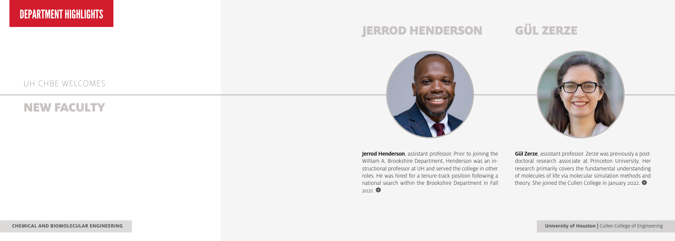#### UH CHBE WELCOMES

#### NEW FACULTY

# JERROD HENDERSON GÜL ZERZE



**Jerrod Henderson**, assistant professor. Prior to joining the William A. Brookshire Department, Henderson was an instructional professor at UH and served the college in other roles. He was hired for a tenure-track position following a national search within the Brookshire Department in Fall  $2021.$ 



**Gül Zerze**, assistant professor. Zerze was previously a postdoctoral research associate at Princeton University. Her research primarily covers the fundamental understanding of molecules of life via molecular simulation methods and theory. She joined the Cullen College in January 2022.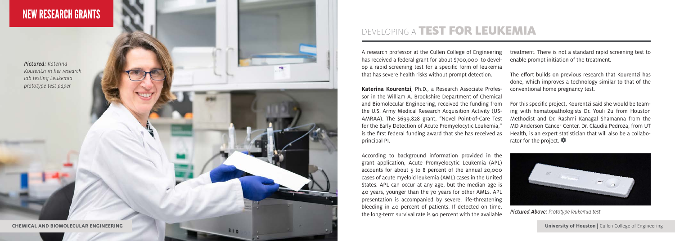### NEW RESEARCH GRANTS

*Pictured: Katerina Kourentzi in her research lab testing Leukemia prototype test paper*

810

#### DEVELOPING A TEST FOR LEUKEMIA

A research professor at the Cullen College of Engineering has received a federal grant for about \$700,000 to devel op a rapid screening test for a specific form of leukemia that has severe health risks without prompt detection.

**Katerina Kourentzi**, Ph.D., a Research Associate Profes sor in the William A. Brookshire Department of Chemical and Biomolecular Engineering, received the funding from the U.S. Army Medical Research Acquisition Activity (US - AMRAA). The \$699,828 grant, "Novel Point-of-Care Test for the Early Detection of Acute Promyelocytic Leukemia," is the first federal funding award that she has received as principal PI.

According to background information provided in the grant application, Acute Promyelocytic Leukemia (APL) accounts for about 5 to 8 percent of the annual 20,000 cases of acute myeloid leukemia (AML) cases in the United States. APL can occur at any age, but the median age is 40 years, younger than the 70 years for other AMLs. APL presentation is accompanied by severe, life-threatening bleeding in 40 percent of patients. If detected on time, the long-term survival rate is 90 percent with the available

treatment. There is not a standard rapid screening test to enable prompt initiation of the treatment.

The effort builds on previous research that Kourentzi has done, which improves a technology similar to that of the conventional home pregnancy test.

For this specific project, Kourentzi said she would be team ing with hematopathologists Dr. Youli Zu from Houston Methodist and Dr. Rashmi Kanagal Shamanna from the MD Anderson Cancer Center. Dr. Claudia Pedroza, from UT Health, is an expert statistician that will also be a collabo rator for the project.  $\clubsuit$ 



*Pictured Above: Prototype leukemia test*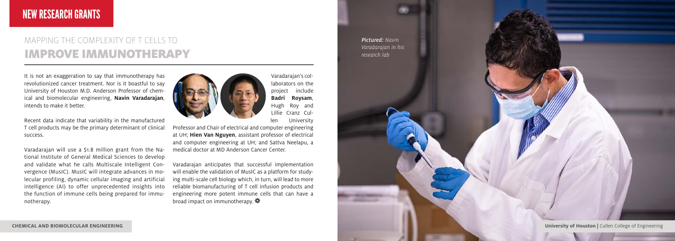### NEW RESEARCH GRANTS

### MAPPING THE COMPLEXITY OF T CELLS TO IMPROVE IMMUNOTHERAPY

It is not an exaggeration to say that immunotherapy has revolutionized cancer treatment. Nor is it boastful to say University of Houston M.D. Anderson Professor of chemical and biomolecular engineering, **Navin Varadarajan**, intends to make it better.

Recent data indicate that variability in the manufactured T cell products may be the primary determinant of clinical success.

Varadarajan will use a \$1.8 million grant from the National Institute of General Medical Sciences to develop and validate what he calls Multiscale Intelligent Convergence (MusIC). MusIC will integrate advances in molecular profiling, dynamic cellular imaging and artificial intelligence (AI) to offer unprecedented insights into the function of immune cells being prepared for immunotherapy.



Varadarajan's col-

laborators on the project include **Badri Roysam**, Hugh Roy and Lillie Cranz Cullen University

Professor and Chair of electrical and computer engineering at UH; **Hien Van Nguyen**, assistant professor of electrical and computer engineering at UH; and Sattva Neelapu, a medical doctor at MD Anderson Cancer Center.

Varadarajan anticipates that successful implementation will enable the validation of MusIC as a platform for studying multi-scale cell biology which, in turn, will lead to more reliable biomanufacturing of T cell infusion products and engineering more potent immune cells that can have a broad impact on immunotherapy.

*Pictured: Navin Varadarajan in his research lab*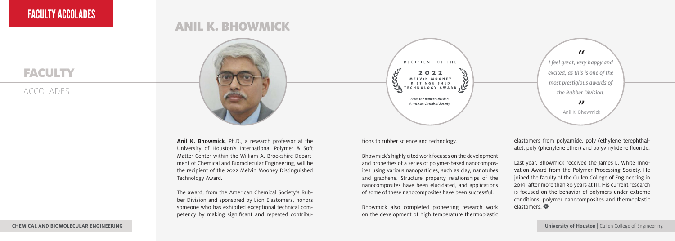#### **FACULTY**

#### ACCOLADES



ANIL K. BHOWMICK

**Anil K. Bhowmick**, Ph.D., a research professor at the University of Houston's International Polymer & Soft Matter Center within the William A. Brookshire Department of Chemical and Biomolecular Engineering, will be the recipient of the 2022 Melvin Mooney Distinguished Technology Award.

The award, from the American Chemical Society's Rubber Division and sponsored by Lion Elastomers, honors someone who has exhibited exceptional technical competency by making significant and repeated contribu-



*I feel great, very happy and " excited, as this is one of the most prestigious awards of the Rubber Division. "* -Anil K. Bhowmick

tions to rubber science and technology.

Bhowmick's highly cited work focuses on the development and properties of a series of polymer-based nanocomposites using various nanoparticles, such as clay, nanotubes and graphene. Structure property relationships of the nanocomposites have been elucidated, and applications of some of these nanocomposites have been successful.

Bhowmick also completed pioneering research work on the development of high temperature thermoplastic elastomers from polyamide, poly (ethylene terephthalate), poly (phenylene ether) and polyvinylidene fluoride.

Last year, Bhowmick received the James L. White Innovation Award from the Polymer Processing Society. He joined the faculty of the Cullen College of Engineering in 2019, after more than 30 years at IIT. His current research is focused on the behavior of polymers under extreme conditions, polymer nanocomposites and thermoplastic elastomers.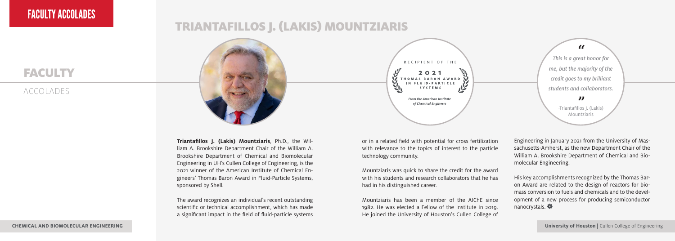### FACULTY ACCOLADES

#### **FACULTY**

#### ACCOLADES



**Triantafillos J. (Lakis) Mountziaris**, Ph.D., the William A. Brookshire Department Chair of the William A. Brookshire Department of Chemical and Biomolecular Engineering in UH's Cullen College of Engineering, is the 2021 winner of the American Institute of Chemical Engineers' Thomas Baron Award in Fluid-Particle Systems, sponsored by Shell.

The award recognizes an individual's recent outstanding scientific or technical accomplishment, which has made a significant impact in the field of fluid-particle systems

or in a related field with potential for cross fertilization with relevance to the topics of interest to the particle technology community.

RECIPIENT OF THE  $2021$ IN FLUID-PARTICLE **SYSTEMS** From the American Institute of Chemical Engineers

Mountziaris was quick to share the credit for the award with his students and research collaborators that he has had in his distinguished career.

Mountziaris has been a member of the AIChE since 1982. He was elected a Fellow of the Institute in 2019. He joined the University of Houston's Cullen College of

*" This is a great honor for me, but the majority of the credit goes to my brilliant students and collaborators. "* -Triantafillos J. (Lakis)

Mountziaris

Engineering in January 2021 from the University of Massachusetts-Amherst, as the new Department Chair of the William A. Brookshire Department of Chemical and Biomolecular Engineering.

His key accomplishments recognized by the Thomas Baron Award are related to the design of reactors for biomass conversion to fuels and chemicals and to the development of a new process for producing semiconductor nanocrystals.

**CHEMICAL AND BIOMOLECULAR ENGINEERING**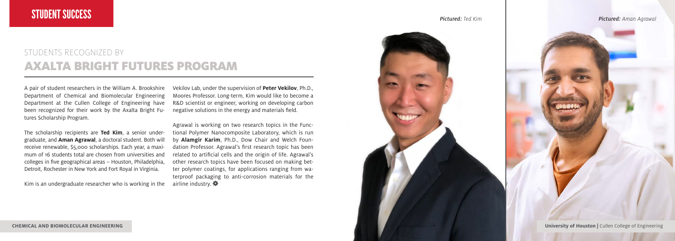#### STUDENTS RECOGNIZED BY AXALTA BRIGHT FUTURES PROGRAM

A pair of student researchers in the William A. Brookshire Department of Chemical and Biomolecular Engineering Department at the Cullen College of Engineering have been recognized for their work by the Axalta Bright Futures Scholarship Program.

The scholarship recipients are **Ted Kim**, a senior undergraduate, and **Aman Agrawal**, a doctoral student. Both will receive renewable, \$5,000 scholarships. Each year, a maximum of 16 students total are chosen from universities and colleges in five geographical areas – Houston, Philadelphia, Detroit, Rochester in New York and Fort Royal in Virginia.

Kim is an undergraduate researcher who is working in the

Vekilov Lab, under the supervision of **Peter Vekilov**, Ph.D., Moores Professor. Long-term, Kim would like to become a R&D scientist or engineer, working on developing carbon negative solutions in the energy and materials field.

Agrawal is working on two research topics in the Functional Polymer Nanocomposite Laboratory, which is run by **Alamgir Karim**, Ph.D., Dow Chair and Welch Foundation Professor. Agrawal's first research topic has been related to artificial cells and the origin of life. Agrawal's other research topics have been focused on making better polymer coatings, for applications ranging from waterproof packaging to anti-corrosion materials for the airline industry.

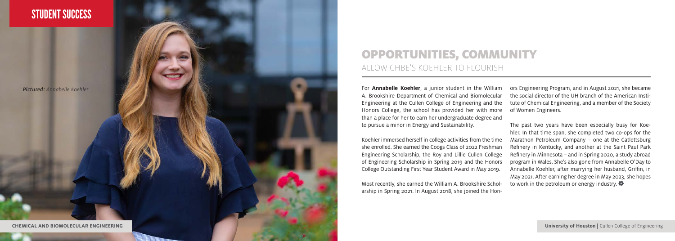

#### OPPORTUNITIES, COMMUNITY ALLOW CHBE'S KOEHLER TO FLOURISH

A. Brookshire Department of Chemical and Biomolecular Engineering at the Cullen College of Engineering and the Honors College, the school has provided her with more than a place for her to earn her undergraduate degree and to pursue a minor in Energy and Sustainability.

Koehler immersed herself in college activities from the time she enrolled. She earned the Coogs Class of 2022 Freshman Engineering Scholarship, the Roy and Lillie Cullen College of Engineering Scholarship in Spring 2019 and the Honors College Outstanding First Year Student Award in May 2019.

Most recently, she earned the William A. Brookshire Schol arship in Spring 2021. In August 2018, she joined the Hon - ors Engineering Program, and in August 2021, she became the social director of the UH branch of the American Insti tute of Chemical Engineering, and a member of the Society of Women Engineers.

The past two years have been especially busy for Koe hler. In that time span, she completed two co-ops for the Marathon Petroleum Company – one at the Catlettsburg Refinery in Kentucky, and another at the Saint Paul Park Refinery in Minnesota – and in Spring 2020, a study abroad program in Wales. She's also gone from Annabelle O'Day to Annabelle Koehler, after marrying her husband, Griffin, in May 2021. After earning her degree in May 2023, she hopes to work in the petroleum or energy industry.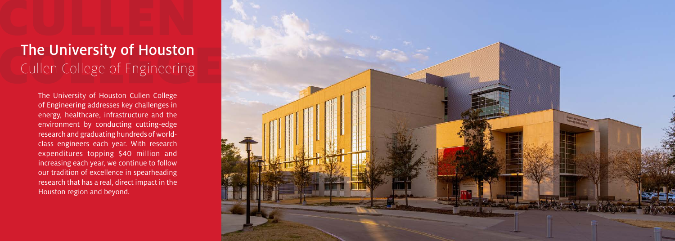# The University of Houston Cullen College of Engineering

The University of Houston Cullen College of Engineering addresses key challenges in energy, healthcare, infrastructure and the environment by conducting cutting-edge research and graduating hundreds of worldclass engineers each year. With research expenditures topping \$40 million and increasing each year, we continue to follow our tradition of excellence in spearheading research that has a real, direct impact in the Houston region and beyond.